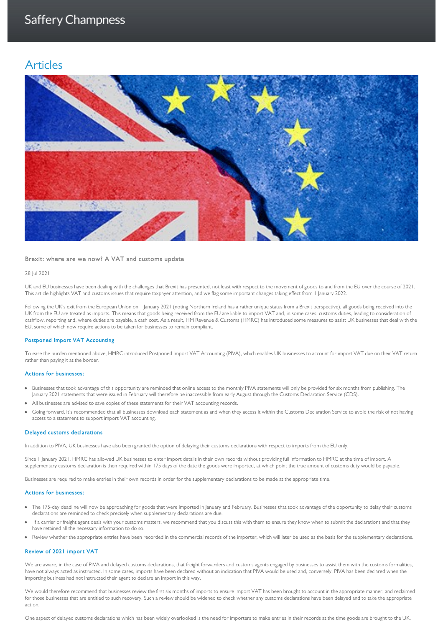# Articles



### Brexit: where are we now? A VAT and customs update

## 28 Jul 2021

UK and EU businesses have been dealing with the challenges that Brexit has presented, not least with respect to the movement of goods to and from the EU over the course of 2021. This article highlights VAT and customs issues that require taxpayer attention, and we flag some important changes taking effect from 1 January 2022.

Following the UK's exit from the European Union on 1 January 2021 (noting Northern Ireland has a rather unique status from a Brexit perspective), all goods being received into the UK from the EU are treated as imports. This means that goods being received from the EU are liable to import VAT and, in some cases, customs duties, leading to consideration of cashflow, reporting and, where duties are payable, a cash cost. As a result, HM Revenue & Customs (HMRC) has introduced some measures to assist UK businesses that deal with the EU, some of which now require actions to be taken for businesses to remain compliant.

## Postponed Import VAT Accounting

To ease the burden mentioned above, HMRC introduced Postponed Import VAT Accounting (PIVA), which enables UK businesses to account for import VAT due on their VAT return rather than paying it at the border.

#### Actions for businesses:

- Businesses that took advantage of this opportunity are reminded that online access to the monthly PIVA statements will only be provided for six months from publishing. The January 2021 statements that were issued in February will therefore be inaccessible from early August through the Customs Declaration Service (CDS).
- All businesses are advised to save copies of these statements for their VAT accounting records.
- Going forward, it's recommended that all businesses download each statement as and when they access it within the Customs Declaration Service to avoid the risk of not having access to a statement to support import VAT accounting.

#### Delayed customs declarations

In addition to PIVA, UK businesses have also been granted the option of delaying their customs declarations with respect to imports from the EU only.

Since I January 2021, HMRC has allowed UK businesses to enter import details in their own records without providing full information to HMRC at the time of import. A supplementary customs declaration is then required within 175 days of the date the goods were imported, at which point the true amount of customs duty would be payable.

Businesses are required to make entries in their own records in order for the supplementary declarations to be made at the appropriate time.

#### Actions for businesses:

- The 175-day deadline will now be approaching for goods that were imported in January and February. Businesses that took advantage of the opportunity to delay their customs declarations are reminded to check precisely when supplementary declarations are due.
- If a carrier or freight agent deals with your customs matters, we recommend that you discuss this with them to ensure they know when to submit the declarations and that they have retained all the necessary information to do so.
- Review whether the appropriate entries have been recorded in the commercial records of the importer, which will later be used as the basis for the supplementary declarations.

## Review of 2021 import VAT

We are aware, in the case of PIVA and delayed customs declarations, that freight forwarders and customs agents engaged by businesses to assist them with the customs formalities, have not always acted as instructed. In some cases, imports have been declared without an indication that PIVA would be used and, conversely, PIVA has been declared when the importing business had not instructed their agent to declare an import in this way.

We would therefore recommend that businesses review the first six months of imports to ensure import VAT has been brought to account in the appropriate manner, and reclaimed for those businesses that are entitled to such recovery. Such a review should be widened to check whether any customs declarations have been delayed and to take the appropriate action.

One aspect of delayed customs declarations which has been widely overlooked is the need for importers to make entries in their records at the time goods are brought to the UK.